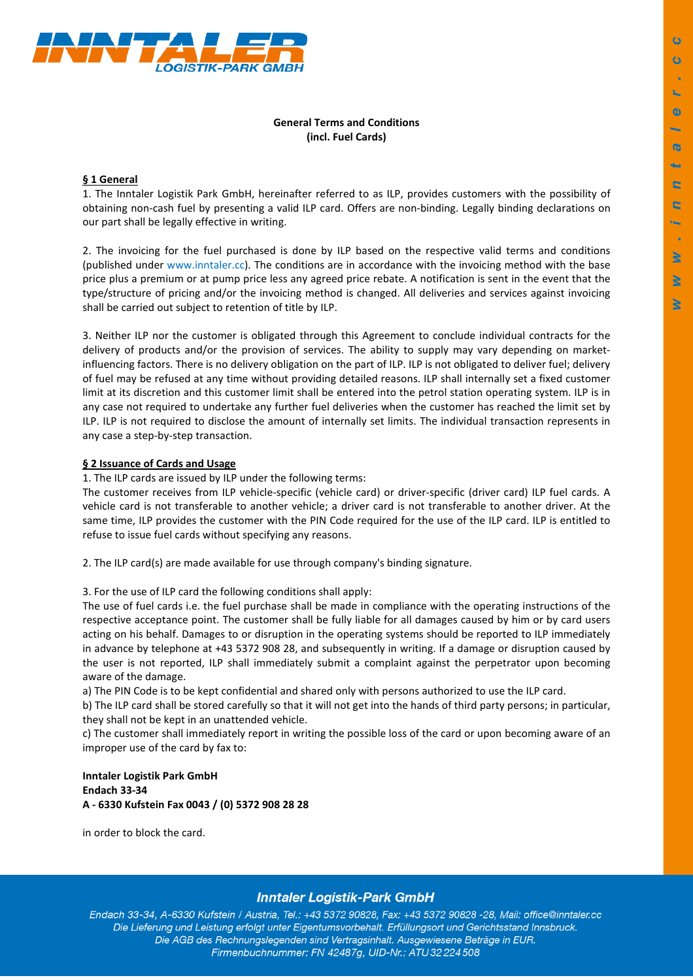

## **General Terms and Conditions (incl. Fuel Cards)**

## **§ 1 General**

1. The Inntaler Logistik Park GmbH, hereinafter referred to as ILP, provides customers with the possibility of obtaining non-cash fuel by presenting a valid ILP card. Offers are non-binding. Legally binding declarations on our part shall be legally effective in writing.

2. The invoicing for the fuel purchased is done by ILP based on the respective valid terms and conditions (published under www.inntaler.cc). The conditions are in accordance with the invoicing method with the base price plus a premium or at pump price less any agreed price rebate. A notification is sent in the event that the type/structure of pricing and/or the invoicing method is changed. All deliveries and services against invoicing shall be carried out subject to retention of title by ILP.

3. Neither ILP nor the customer is obligated through this Agreement to conclude individual contracts for the delivery of products and/or the provision of services. The ability to supply may vary depending on marketinfluencing factors. There is no delivery obligation on the part of ILP. ILP is not obligated to deliver fuel; delivery of fuel may be refused at any time without providing detailed reasons. ILP shall internally set a fixed customer limit at its discretion and this customer limit shall be entered into the petrol station operating system. ILP is in any case not required to undertake any further fuel deliveries when the customer has reached the limit set by ILP. ILP is not required to disclose the amount of internally set limits. The individual transaction represents in any case a step-by-step transaction.

## **§ 2 Issuance of Cards and Usage**

1. The ILP cards are issued by ILP under the following terms:

The customer receives from ILP vehicle-specific (vehicle card) or driver-specific (driver card) ILP fuel cards. A vehicle card is not transferable to another vehicle; a driver card is not transferable to another driver. At the same time, ILP provides the customer with the PIN Code required for the use of the ILP card. ILP is entitled to refuse to issue fuel cards without specifying any reasons.

2. The ILP card(s) are made available for use through company's binding signature.

3. For the use of ILP card the following conditions shall apply:

The use of fuel cards i.e. the fuel purchase shall be made in compliance with the operating instructions of the respective acceptance point. The customer shall be fully liable for all damages caused by him or by card users acting on his behalf. Damages to or disruption in the operating systems should be reported to ILP immediately in advance by telephone at +43 5372 908 28, and subsequently in writing. If a damage or disruption caused by the user is not reported, ILP shall immediately submit a complaint against the perpetrator upon becoming aware of the damage.

a) The PIN Code is to be kept confidential and shared only with persons authorized to use the ILP card.

b) The ILP card shall be stored carefully so that it will not get into the hands of third party persons; in particular, they shall not be kept in an unattended vehicle.

c) The customer shall immediately report in writing the possible loss of the card or upon becoming aware of an improper use of the card by fax to:

**Inntaler Logistik Park GmbH Endach 33-34 A - 6330 Kufstein Fax 0043 / (0) 5372 908 28 28** 

in order to block the card.

## **Inntaler Logistik-Park GmbH**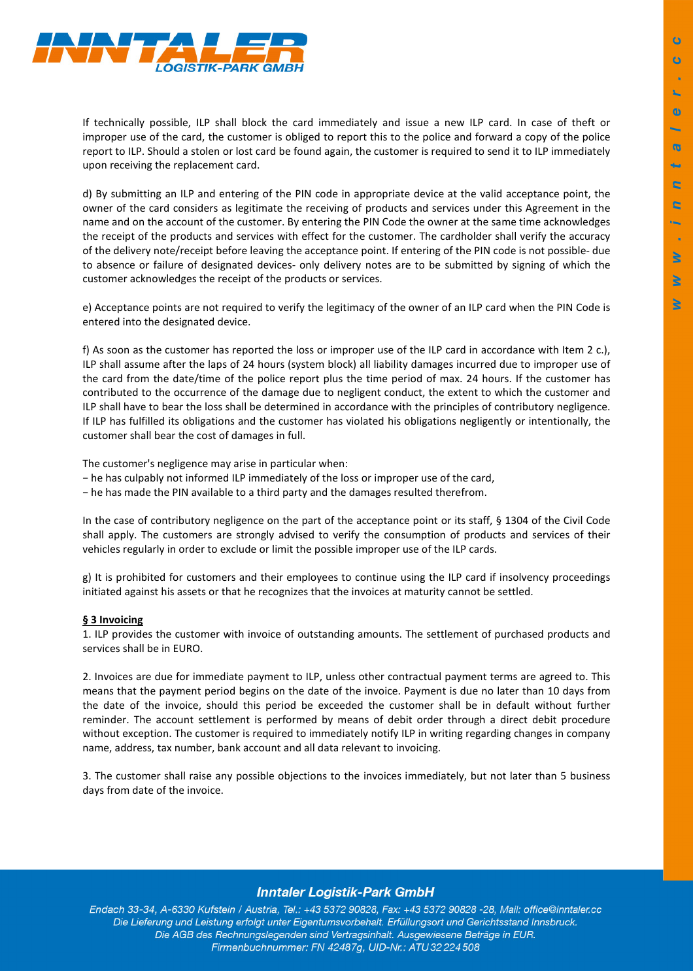

If technically possible, ILP shall block the card immediately and issue a new ILP card. In case of theft or improper use of the card, the customer is obliged to report this to the police and forward a copy of the police report to ILP. Should a stolen or lost card be found again, the customer is required to send it to ILP immediately upon receiving the replacement card.

d) By submitting an ILP and entering of the PIN code in appropriate device at the valid acceptance point, the owner of the card considers as legitimate the receiving of products and services under this Agreement in the name and on the account of the customer. By entering the PIN Code the owner at the same time acknowledges the receipt of the products and services with effect for the customer. The cardholder shall verify the accuracy of the delivery note/receipt before leaving the acceptance point. If entering of the PIN code is not possible- due to absence or failure of designated devices- only delivery notes are to be submitted by signing of which the customer acknowledges the receipt of the products or services.

e) Acceptance points are not required to verify the legitimacy of the owner of an ILP card when the PIN Code is entered into the designated device.

f) As soon as the customer has reported the loss or improper use of the ILP card in accordance with Item 2 c.), ILP shall assume after the laps of 24 hours (system block) all liability damages incurred due to improper use of the card from the date/time of the police report plus the time period of max. 24 hours. If the customer has contributed to the occurrence of the damage due to negligent conduct, the extent to which the customer and ILP shall have to bear the loss shall be determined in accordance with the principles of contributory negligence. If ILP has fulfilled its obligations and the customer has violated his obligations negligently or intentionally, the customer shall bear the cost of damages in full.

The customer's negligence may arise in particular when:

- − he has culpably not informed ILP immediately of the loss or improper use of the card,
- − he has made the PIN available to a third party and the damages resulted therefrom.

In the case of contributory negligence on the part of the acceptance point or its staff, § 1304 of the Civil Code shall apply. The customers are strongly advised to verify the consumption of products and services of their vehicles regularly in order to exclude or limit the possible improper use of the ILP cards.

g) It is prohibited for customers and their employees to continue using the ILP card if insolvency proceedings initiated against his assets or that he recognizes that the invoices at maturity cannot be settled.

#### **§ 3 Invoicing**

1. ILP provides the customer with invoice of outstanding amounts. The settlement of purchased products and services shall be in EURO.

2. Invoices are due for immediate payment to ILP, unless other contractual payment terms are agreed to. This means that the payment period begins on the date of the invoice. Payment is due no later than 10 days from the date of the invoice, should this period be exceeded the customer shall be in default without further reminder. The account settlement is performed by means of debit order through a direct debit procedure without exception. The customer is required to immediately notify ILP in writing regarding changes in company name, address, tax number, bank account and all data relevant to invoicing.

3. The customer shall raise any possible objections to the invoices immediately, but not later than 5 business days from date of the invoice.

## **Inntaler Logistik-Park GmbH**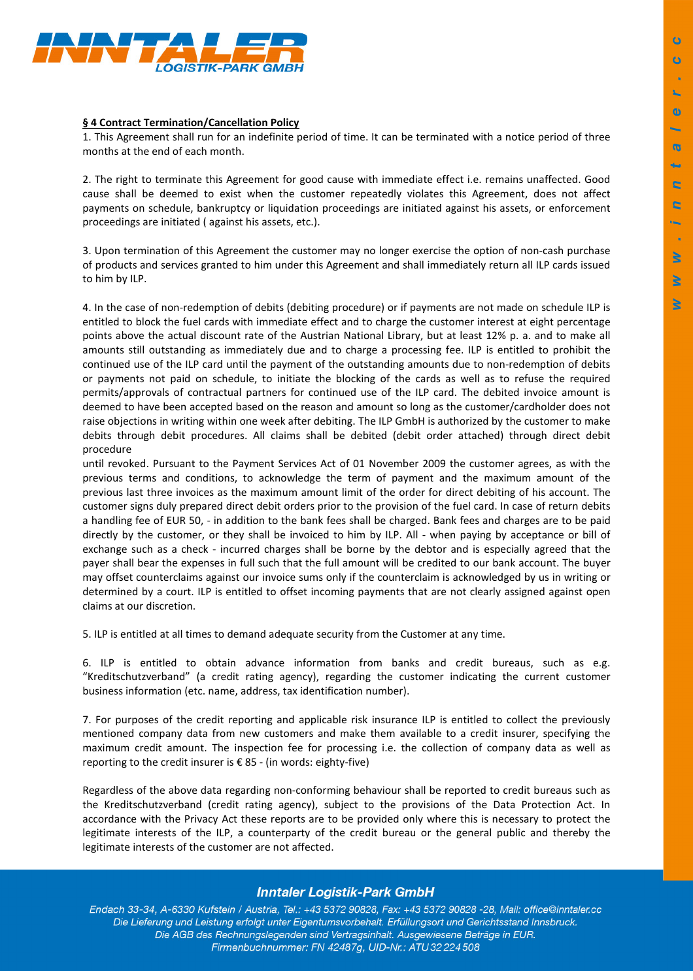

#### **§ 4 Contract Termination/Cancellation Policy**

1. This Agreement shall run for an indefinite period of time. It can be terminated with a notice period of three months at the end of each month.

2. The right to terminate this Agreement for good cause with immediate effect i.e. remains unaffected. Good cause shall be deemed to exist when the customer repeatedly violates this Agreement, does not affect payments on schedule, bankruptcy or liquidation proceedings are initiated against his assets, or enforcement proceedings are initiated ( against his assets, etc.).

3. Upon termination of this Agreement the customer may no longer exercise the option of non-cash purchase of products and services granted to him under this Agreement and shall immediately return all ILP cards issued to him by ILP.

4. In the case of non-redemption of debits (debiting procedure) or if payments are not made on schedule ILP is entitled to block the fuel cards with immediate effect and to charge the customer interest at eight percentage points above the actual discount rate of the Austrian National Library, but at least 12% p. a. and to make all amounts still outstanding as immediately due and to charge a processing fee. ILP is entitled to prohibit the continued use of the ILP card until the payment of the outstanding amounts due to non-redemption of debits or payments not paid on schedule, to initiate the blocking of the cards as well as to refuse the required permits/approvals of contractual partners for continued use of the ILP card. The debited invoice amount is deemed to have been accepted based on the reason and amount so long as the customer/cardholder does not raise objections in writing within one week after debiting. The ILP GmbH is authorized by the customer to make debits through debit procedures. All claims shall be debited (debit order attached) through direct debit procedure

until revoked. Pursuant to the Payment Services Act of 01 November 2009 the customer agrees, as with the previous terms and conditions, to acknowledge the term of payment and the maximum amount of the previous last three invoices as the maximum amount limit of the order for direct debiting of his account. The customer signs duly prepared direct debit orders prior to the provision of the fuel card. In case of return debits a handling fee of EUR 50, - in addition to the bank fees shall be charged. Bank fees and charges are to be paid directly by the customer, or they shall be invoiced to him by ILP. All - when paying by acceptance or bill of exchange such as a check - incurred charges shall be borne by the debtor and is especially agreed that the payer shall bear the expenses in full such that the full amount will be credited to our bank account. The buyer may offset counterclaims against our invoice sums only if the counterclaim is acknowledged by us in writing or determined by a court. ILP is entitled to offset incoming payments that are not clearly assigned against open claims at our discretion.

5. ILP is entitled at all times to demand adequate security from the Customer at any time.

6. ILP is entitled to obtain advance information from banks and credit bureaus, such as e.g. "Kreditschutzverband" (a credit rating agency), regarding the customer indicating the current customer business information (etc. name, address, tax identification number).

7. For purposes of the credit reporting and applicable risk insurance ILP is entitled to collect the previously mentioned company data from new customers and make them available to a credit insurer, specifying the maximum credit amount. The inspection fee for processing i.e. the collection of company data as well as reporting to the credit insurer is € 85 - (in words: eighty-five)

Regardless of the above data regarding non-conforming behaviour shall be reported to credit bureaus such as the Kreditschutzverband (credit rating agency), subject to the provisions of the Data Protection Act. In accordance with the Privacy Act these reports are to be provided only where this is necessary to protect the legitimate interests of the ILP, a counterparty of the credit bureau or the general public and thereby the legitimate interests of the customer are not affected.

# **Inntaler Logistik-Park GmbH**